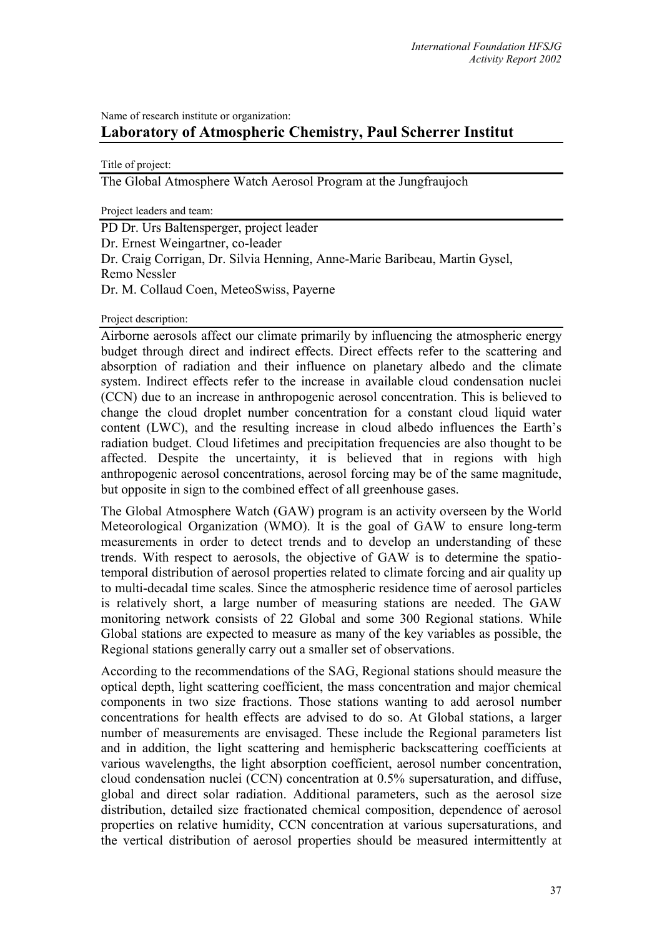# Name of research institute or organization: **Laboratory of Atmospheric Chemistry, Paul Scherrer Institut**

Title of project:

The Global Atmosphere Watch Aerosol Program at the Jungfraujoch

Project leaders and team:

PD Dr. Urs Baltensperger, project leader Dr. Ernest Weingartner, co-leader Dr. Craig Corrigan, Dr. Silvia Henning, Anne-Marie Baribeau, Martin Gysel, Remo Nessler Dr. M. Collaud Coen, MeteoSwiss, Payerne

Project description:

Airborne aerosols affect our climate primarily by influencing the atmospheric energy budget through direct and indirect effects. Direct effects refer to the scattering and absorption of radiation and their influence on planetary albedo and the climate system. Indirect effects refer to the increase in available cloud condensation nuclei (CCN) due to an increase in anthropogenic aerosol concentration. This is believed to change the cloud droplet number concentration for a constant cloud liquid water content (LWC), and the resulting increase in cloud albedo influences the Earth's radiation budget. Cloud lifetimes and precipitation frequencies are also thought to be affected. Despite the uncertainty, it is believed that in regions with high anthropogenic aerosol concentrations, aerosol forcing may be of the same magnitude, but opposite in sign to the combined effect of all greenhouse gases.

The Global Atmosphere Watch (GAW) program is an activity overseen by the World Meteorological Organization (WMO). It is the goal of GAW to ensure long-term measurements in order to detect trends and to develop an understanding of these trends. With respect to aerosols, the objective of GAW is to determine the spatiotemporal distribution of aerosol properties related to climate forcing and air quality up to multi-decadal time scales. Since the atmospheric residence time of aerosol particles is relatively short, a large number of measuring stations are needed. The GAW monitoring network consists of 22 Global and some 300 Regional stations. While Global stations are expected to measure as many of the key variables as possible, the Regional stations generally carry out a smaller set of observations.

According to the recommendations of the SAG, Regional stations should measure the optical depth, light scattering coefficient, the mass concentration and major chemical components in two size fractions. Those stations wanting to add aerosol number concentrations for health effects are advised to do so. At Global stations, a larger number of measurements are envisaged. These include the Regional parameters list and in addition, the light scattering and hemispheric backscattering coefficients at various wavelengths, the light absorption coefficient, aerosol number concentration, cloud condensation nuclei (CCN) concentration at 0.5% supersaturation, and diffuse, global and direct solar radiation. Additional parameters, such as the aerosol size distribution, detailed size fractionated chemical composition, dependence of aerosol properties on relative humidity, CCN concentration at various supersaturations, and the vertical distribution of aerosol properties should be measured intermittently at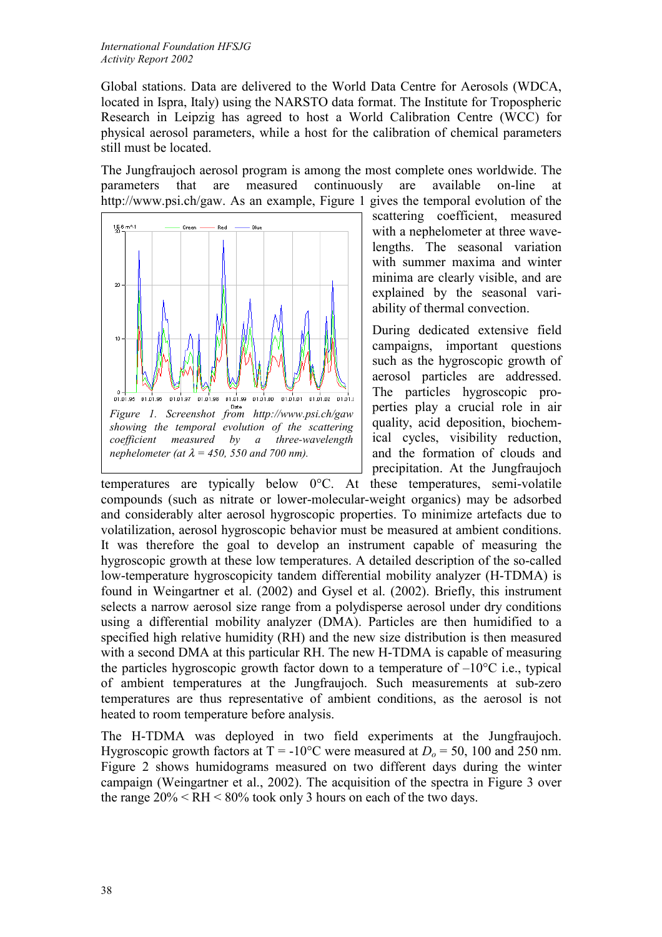Global stations. Data are delivered to the World Data Centre for Aerosols (WDCA, located in Ispra, Italy) using the NARSTO data format. The Institute for Tropospheric Research in Leipzig has agreed to host a World Calibration Centre (WCC) for physical aerosol parameters, while a host for the calibration of chemical parameters still must be located.

The Jungfraujoch aerosol program is among the most complete ones worldwide. The parameters that are measured continuously are available on-line at http://www.psi.ch/gaw. As an example, Figure 1 gives the temporal evolution of the



scattering coefficient, measured with a nephelometer at three wavelengths. The seasonal variation with summer maxima and winter minima are clearly visible, and are explained by the seasonal variability of thermal convection.

During dedicated extensive field campaigns, important questions such as the hygroscopic growth of aerosol particles are addressed. The particles hygroscopic properties play a crucial role in air quality, acid deposition, biochemical cycles, visibility reduction, and the formation of clouds and precipitation. At the Jungfraujoch

temperatures are typically below 0°C. At these temperatures, semi-volatile compounds (such as nitrate or lower-molecular-weight organics) may be adsorbed and considerably alter aerosol hygroscopic properties. To minimize artefacts due to volatilization, aerosol hygroscopic behavior must be measured at ambient conditions. It was therefore the goal to develop an instrument capable of measuring the hygroscopic growth at these low temperatures. A detailed description of the so-called low-temperature hygroscopicity tandem differential mobility analyzer (H-TDMA) is found in Weingartner et al. (2002) and Gysel et al. (2002). Briefly, this instrument selects a narrow aerosol size range from a polydisperse aerosol under dry conditions using a differential mobility analyzer (DMA). Particles are then humidified to a specified high relative humidity (RH) and the new size distribution is then measured with a second DMA at this particular RH. The new H-TDMA is capable of measuring the particles hygroscopic growth factor down to a temperature of  $-10^{\circ}$ C i.e., typical of ambient temperatures at the Jungfraujoch. Such measurements at sub-zero temperatures are thus representative of ambient conditions, as the aerosol is not heated to room temperature before analysis.

The H-TDMA was deployed in two field experiments at the Jungfraujoch. Hygroscopic growth factors at  $T = -10^{\circ}$ C were measured at  $D_0 = 50$ , 100 and 250 nm. Figure 2 shows humidograms measured on two different days during the winter campaign (Weingartner et al., 2002). The acquisition of the spectra in Figure 3 over the range  $20\%$  < RH < 80% took only 3 hours on each of the two days.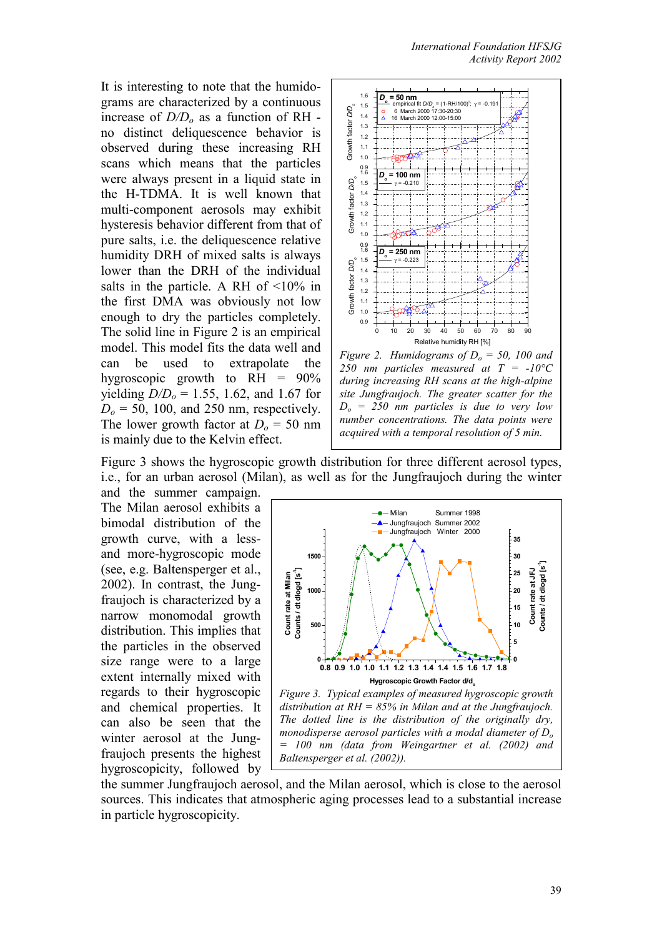It is interesting to note that the humidograms are characterized by a continuous increase of  $D/D_0$  as a function of RH no distinct deliquescence behavior is observed during these increasing RH scans which means that the particles were always present in a liquid state in the H-TDMA. It is well known that multi-component aerosols may exhibit hysteresis behavior different from that of pure salts, i.e. the deliquescence relative humidity DRH of mixed salts is always lower than the DRH of the individual salts in the particle. A RH of <10% in the first DMA was obviously not low enough to dry the particles completely. The solid line in Figure 2 is an empirical model. This model fits the data well and can be used to extrapolate the hygroscopic growth to  $RH = 90\%$ yielding *D/Do* = 1.55, 1.62, and 1.67 for  $D<sub>o</sub>$  = 50, 100, and 250 nm, respectively. The lower growth factor at  $D_0 = 50$  nm is mainly due to the Kelvin effect.



*Figure 2. Humidograms of*  $D<sub>o</sub> = 50$ *, 100 and 250 nm particles measured at T = -10°C during increasing RH scans at the high-alpine site Jungfraujoch. The greater scatter for the Do = 250 nm particles is due to very low number concentrations. The data points were acquired with a temporal resolution of 5 min.* 

Figure 3 shows the hygroscopic growth distribution for three different aerosol types, i.e., for an urban aerosol (Milan), as well as for the Jungfraujoch during the winter

and the summer campaign. The Milan aerosol exhibits a bimodal distribution of the growth curve, with a lessand more-hygroscopic mode (see, e.g. Baltensperger et al., 2002). In contrast, the Jungfraujoch is characterized by a narrow monomodal growth distribution. This implies that the particles in the observed size range were to a large extent internally mixed with regards to their hygroscopic and chemical properties. It can also be seen that the winter aerosol at the Jungfraujoch presents the highest hygroscopicity, followed by



*distribution at RH = 85% in Milan and at the Jungfraujoch. The dotted line is the distribution of the originally dry, monodisperse aerosol particles with a modal diameter of Do = 100 nm (data from Weingartner et al. (2002) and Baltensperger et al. (2002)).* 

the summer Jungfraujoch aerosol, and the Milan aerosol, which is close to the aerosol sources. This indicates that atmospheric aging processes lead to a substantial increase in particle hygroscopicity.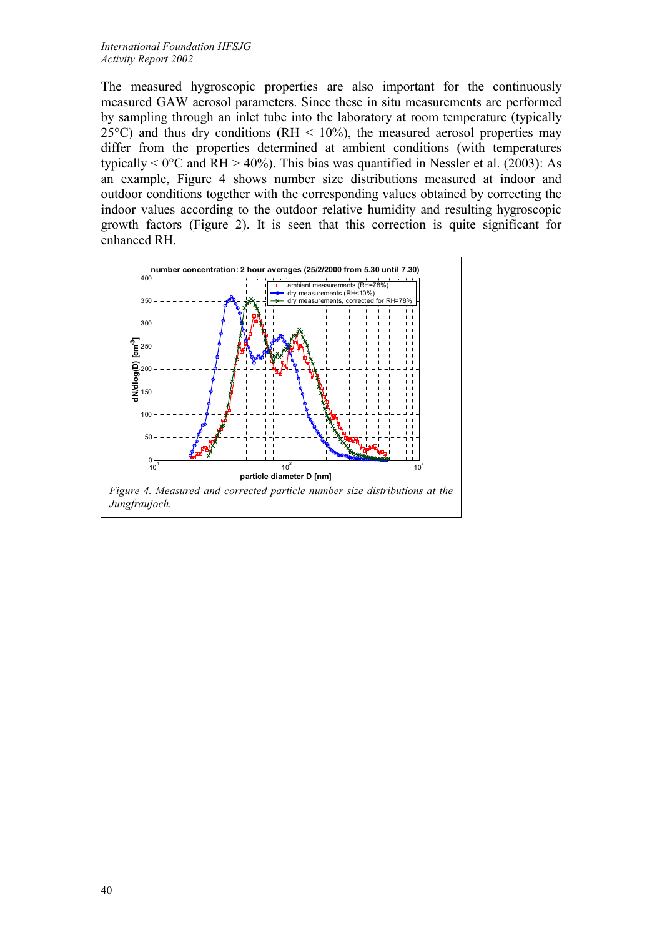The measured hygroscopic properties are also important for the continuously measured GAW aerosol parameters. Since these in situ measurements are performed by sampling through an inlet tube into the laboratory at room temperature (typically 25 $^{\circ}$ C) and thus dry conditions (RH < 10%), the measured aerosol properties may differ from the properties determined at ambient conditions (with temperatures typically  $\leq 0^{\circ}$ C and RH  $> 40\%$ ). This bias was quantified in Nessler et al. (2003): As an example, Figure 4 shows number size distributions measured at indoor and outdoor conditions together with the corresponding values obtained by correcting the indoor values according to the outdoor relative humidity and resulting hygroscopic growth factors (Figure 2). It is seen that this correction is quite significant for enhanced RH.

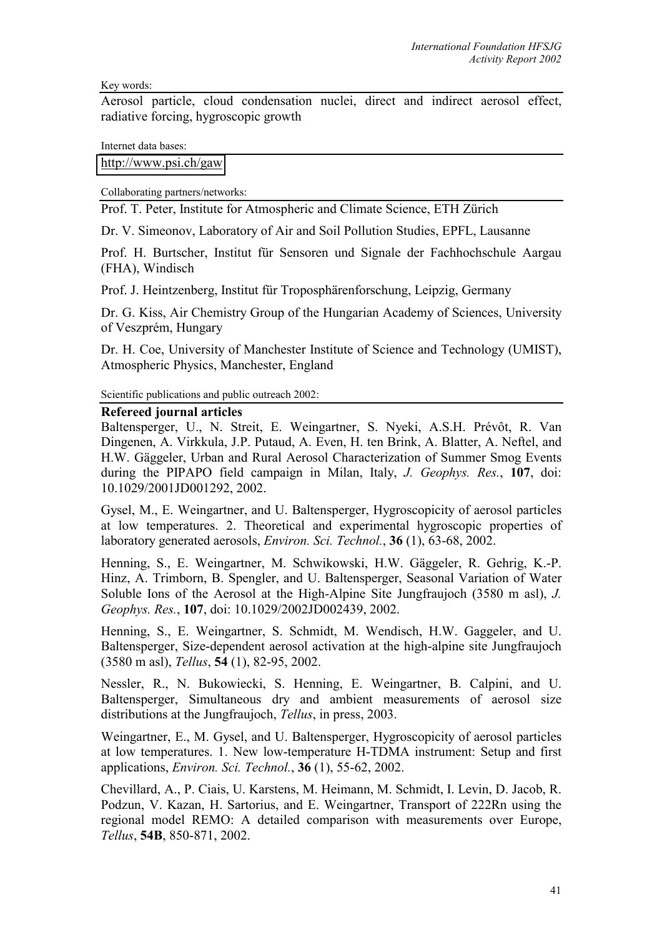Key words:

Aerosol particle, cloud condensation nuclei, direct and indirect aerosol effect, radiative forcing, hygroscopic growth

Internet data bases:

[http://www.psi.ch/gaw](http://psi.ch/gaw)

Collaborating partners/networks:

Prof. T. Peter, Institute for Atmospheric and Climate Science, ETH Zürich

Dr. V. Simeonov, Laboratory of Air and Soil Pollution Studies, EPFL, Lausanne

Prof. H. Burtscher, Institut für Sensoren und Signale der Fachhochschule Aargau (FHA), Windisch

Prof. J. Heintzenberg, Institut für Troposphärenforschung, Leipzig, Germany

Dr. G. Kiss, Air Chemistry Group of the Hungarian Academy of Sciences, University of Veszprém, Hungary

Dr. H. Coe, University of Manchester Institute of Science and Technology (UMIST), Atmospheric Physics, Manchester, England

Scientific publications and public outreach 2002:

#### **Refereed journal articles**

Baltensperger, U., N. Streit, E. Weingartner, S. Nyeki, A.S.H. Prévôt, R. Van Dingenen, A. Virkkula, J.P. Putaud, A. Even, H. ten Brink, A. Blatter, A. Neftel, and H.W. Gäggeler, Urban and Rural Aerosol Characterization of Summer Smog Events during the PIPAPO field campaign in Milan, Italy, *J. Geophys. Res.*, **107**, doi: 10.1029/2001JD001292, 2002.

Gysel, M., E. Weingartner, and U. Baltensperger, Hygroscopicity of aerosol particles at low temperatures. 2. Theoretical and experimental hygroscopic properties of laboratory generated aerosols, *Environ. Sci. Technol.*, **36** (1), 63-68, 2002.

Henning, S., E. Weingartner, M. Schwikowski, H.W. Gäggeler, R. Gehrig, K.-P. Hinz, A. Trimborn, B. Spengler, and U. Baltensperger, Seasonal Variation of Water Soluble Ions of the Aerosol at the High-Alpine Site Jungfraujoch (3580 m asl), *J. Geophys. Res.*, **107**, doi: 10.1029/2002JD002439, 2002.

Henning, S., E. Weingartner, S. Schmidt, M. Wendisch, H.W. Gaggeler, and U. Baltensperger, Size-dependent aerosol activation at the high-alpine site Jungfraujoch (3580 m asl), *Tellus*, **54** (1), 82-95, 2002.

Nessler, R., N. Bukowiecki, S. Henning, E. Weingartner, B. Calpini, and U. Baltensperger, Simultaneous dry and ambient measurements of aerosol size distributions at the Jungfraujoch, *Tellus*, in press, 2003.

Weingartner, E., M. Gysel, and U. Baltensperger, Hygroscopicity of aerosol particles at low temperatures. 1. New low-temperature H-TDMA instrument: Setup and first applications, *Environ. Sci. Technol.*, **36** (1), 55-62, 2002.

Chevillard, A., P. Ciais, U. Karstens, M. Heimann, M. Schmidt, I. Levin, D. Jacob, R. Podzun, V. Kazan, H. Sartorius, and E. Weingartner, Transport of 222Rn using the regional model REMO: A detailed comparison with measurements over Europe, *Tellus*, **54B**, 850-871, 2002.